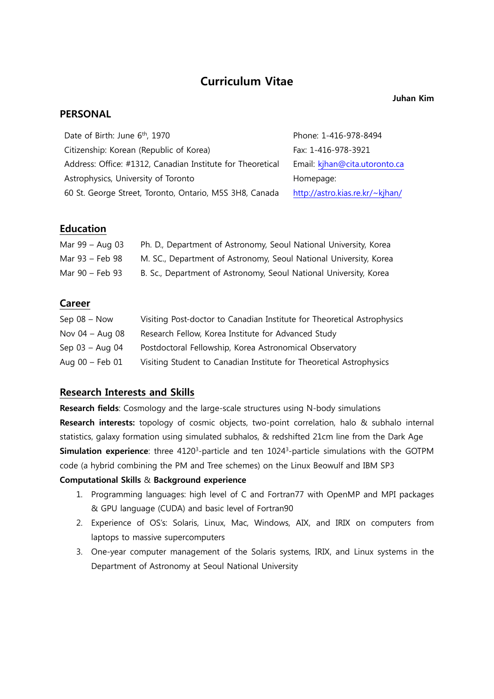# **Curriculum Vitae**

#### **Juhan Kim**

### **PERSONAL**

| Date of Birth: June 6 <sup>th</sup> , 1970                 | Phone: 1-416-978-8494           |
|------------------------------------------------------------|---------------------------------|
| Citizenship: Korean (Republic of Korea)                    | Fax: 1-416-978-3921             |
| Address: Office: #1312, Canadian Institute for Theoretical | Email: kjhan@cita.utoronto.ca   |
| Astrophysics, University of Toronto                        | Homepage:                       |
| 60 St. George Street, Toronto, Ontario, M5S 3H8, Canada    | http://astro.kias.re.kr/~kjhan/ |

### **Education**

| Mar $99 - Aug$ 03 | Ph. D., Department of Astronomy, Seoul National University, Korea |
|-------------------|-------------------------------------------------------------------|
| Mar 93 – Feb 98   | M. SC., Department of Astronomy, Seoul National University, Korea |
| Mar 90 – Feb 93   | B. Sc., Department of Astronomy, Seoul National University, Korea |

### **Career**

| Sep $08 - Now$      | Visiting Post-doctor to Canadian Institute for Theoretical Astrophysics |
|---------------------|-------------------------------------------------------------------------|
| Nov $04 - Aug$ 08   | Research Fellow, Korea Institute for Advanced Study                     |
| Sep $03 -$ Aug 04   | Postdoctoral Fellowship, Korea Astronomical Observatory                 |
| Aug $00$ – Feb $01$ | Visiting Student to Canadian Institute for Theoretical Astrophysics     |

### **Research Interests and Skills**

**Research fields**: Cosmology and the large-scale structures using N-body simulations **Research interests:** topology of cosmic objects, two-point correlation, halo & subhalo internal statistics, galaxy formation using simulated subhalos, & redshifted 21cm line from the Dark Age **Simulation experience**: three 4120<sup>3</sup>-particle and ten 1024<sup>3</sup>-particle simulations with the GOTPM code (a hybrid combining the PM and Tree schemes) on the Linux Beowulf and IBM SP3 **Computational Skills** & **Background experience**

- 1. Programming languages: high level of C and Fortran77 with OpenMP and MPI packages & GPU language (CUDA) and basic level of Fortran90
- 2. Experience of OS's: Solaris, Linux, Mac, Windows, AIX, and IRIX on computers from laptops to massive supercomputers
- 3. One-year computer management of the Solaris systems, IRIX, and Linux systems in the Department of Astronomy at Seoul National University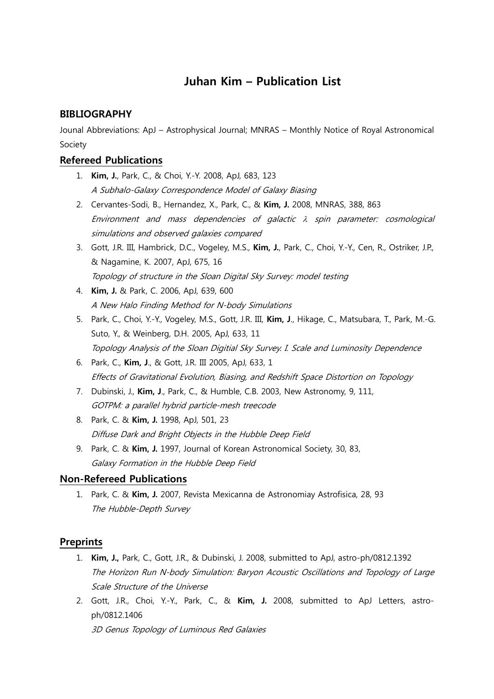# **Juhan Kim – Publication List**

### **BIBLIOGRAPHY**

Jounal Abbreviations: ApJ – Astrophysical Journal; MNRAS – Monthly Notice of Royal Astronomical Society

## **Refereed Publications**

- 1. **Kim, J.**, Park, C., & Choi, Y.-Y. 2008, ApJ, 683, 123 A Subhalo-Galaxy Correspondence Model of Galaxy Biasing
- 2. Cervantes-Sodi, B., Hernandez, X., Park, C., & **Kim, J.** 2008, MNRAS, 388, 863 Environment and mass dependencies of galactic λ spin parameter: cosmological simulations and observed galaxies compared
- 3. Gott, J.R. III, Hambrick, D.C., Vogeley, M.S., **Kim, J.**, Park, C., Choi, Y.-Y., Cen, R., Ostriker, J.P., & Nagamine, K. 2007, ApJ, 675, 16 Topology of structure in the Sloan Digital Sky Survey: model testing
- 4. **Kim, J.** & Park, C. 2006, ApJ, 639, 600 A New Halo Finding Method for N-body Simulations
- 5. Park, C., Choi, Y.-Y., Vogeley, M.S., Gott, J.R. III, **Kim, J**., Hikage, C., Matsubara, T., Park, M.-G. Suto, Y., & Weinberg, D.H. 2005, ApJ, 633, 11 Topology Analysis of the Sloan Digitial Sky Survey. I. Scale and Luminosity Dependence
- 6. Park, C., **Kim, J**., & Gott, J.R. III 2005, ApJ, 633, 1 Effects of Gravitational Evolution, Biasing, and Redshift Space Distortion on Topology
- 7. Dubinski, J., **Kim, J**., Park, C., & Humble, C.B. 2003, New Astronomy, 9, 111, GOTPM: a parallel hybrid particle-mesh treecode
- 8. Park, C. & **Kim, J.** 1998, ApJ, 501, 23 Diffuse Dark and Bright Objects in the Hubble Deep Field
- 9. Park, C. & **Kim, J.** 1997, Journal of Korean Astronomical Society, 30, 83, Galaxy Formation in the Hubble Deep Field

### **Non-Refereed Publications**

1. Park, C. & **Kim, J.** 2007, Revista Mexicanna de Astronomiay Astrofisica, 28, 93 The Hubble-Depth Survey

## **Preprints**

- 1. **Kim, J.,** Park, C., Gott, J.R., & Dubinski, J. 2008, submitted to ApJ, astro-ph/0812.1392 The Horizon Run N-body Simulation: Baryon Acoustic Oscillations and Topology of Large Scale Structure of the Universe
- 2. Gott, J.R., Choi, Y.-Y., Park, C., & **Kim, J.** 2008, submitted to ApJ Letters, astroph/0812.1406

3D Genus Topology of Luminous Red Galaxies